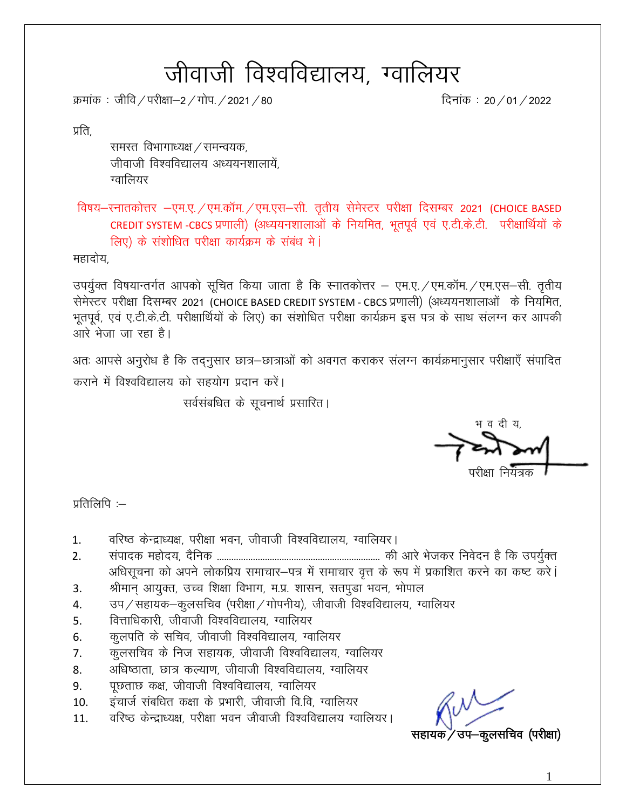# जीवाजी विश्वविद्यालय, ग्वालियर

क्रमांक : जीवि / परीक्षा–2 / गोप. / 2021 / 80  $\frac{1}{\sqrt{2}}$  subset of  $\frac{1}{\sqrt{2}}$  and  $\frac{1}{\sqrt{2}}$  and  $\frac{1}{\sqrt{2}}$  and  $\frac{1}{\sqrt{2}}$  and  $\frac{1}{\sqrt{2}}$  and  $\frac{1}{\sqrt{2}}$  and  $\frac{1}{\sqrt{2}}$  and  $\frac{1}{\sqrt{2}}$  and  $\frac{1}{\sqrt{2}}$  an

प्रति.

समस्त विभागाध्यक्ष / समन्वयक, जीवाजी विश्वविद्यालय अध्ययनशालायें. ग्वालियर

विषय-स्नातकोत्तर -एम.ए./एम.कॉम./एम.एस-सी. तृतीय सेमेस्टर परीक्षा दिसम्बर 2021 (CHOICE BASED CREDIT SYSTEM -CBCS प्रणाली) (अध्ययनशालाओं के नियमित, भूतपूर्व एवं ए.टी.के.टी. परीक्षार्थियों के लिए) के संशोधित परीक्षा कार्यक्रम के संबंध मे**ं** 

महादोय,

उपर्यूक्त विषयान्तर्गत आपको सूचित किया जाता है कि स्नातकोत्तर – एम.ए. /एम.कॉम. /एम.एस-सी. तृतीय सेमेस्टर परीक्षा दिसम्बर 2021 (CHOICE BASED CREDIT SYSTEM - CBCS प्रणाली) (अध्ययनशालाओं) के नियमित, भुतपूर्व, एवं ए.टी.के.टी. परीक्षार्थियों के लिए) का संशोधित परीक्षा कार्यक्रम इस पत्र के साथ संलग्न कर आपकी आरे भेजा जा रहा है।

अतः आपसे अनुरोध है कि तद्नुसार छात्र-छात्राओं को अवगत कराकर संलग्न कार्यक्रमानुसार परीक्षाएँ संपादित कराने में विश्वविद्यालय को सहयोग प्रदान करें।

सर्वसंबधित के सूचनार्थ प्रसारित।

भ व दी य

परीक्षा नियंत्रक

प्रतिलिपि $:=$ 

- 1. वरिष्ठ केन्द्राध्यक्ष, परीक्षा भवन, जीवाजी विश्वविद्यालय, ग्वालियर।
- 2. laiknd egksn;] n Sfud -------------------------------------------------------------------- dh vkjs Hkstdj fuosnu gS fd mi;q ZDr अधिसूचना को अपने लोकप्रिय समाचार-पत्र में समाचार वृत्त के रूप में प्रकाशित करने का कष्ट करे।
- 3. श्रीमान् आयुक्त, उच्च शिक्षा विभाग, म.प्र. शासन, सतपूडा भवन, भोपाल
- 4. जप/सहायक–कूलसचिव (परीक्षा/गोपनीय), जीवाजी विश्वविद्यालय, ग्वालियर
- 5. वित्ताधिकारी, जीवाजी विश्वविद्यालय, ग्वालियर
- 6. व्हलपति के सचिव, जीवाजी विश्वविद्यालय, ग्वालियर
- 7. व्यूलसचिव के निज सहायक, जीवाजी विश्वविद्यालय, ग्वालियर
- 8. अधिष्ठाता, छात्र कल्याण, जीवाजी विश्वविद्यालय, ग्वालियर
- 9. पृछताछ कक्ष, जीवाजी विश्वविद्यालय, ग्वालियर
- 10. व्हंचार्ज संबधित कक्षा के प्रभारी, जीवाजी वि.वि, ग्वालियर
- 11. वरिष्ठ केन्द्राध्यक्ष, परीक्षा भवन जीवाजी विश्वविद्यालय ग्वालियर।

-कूलसचिव (परीक्षा)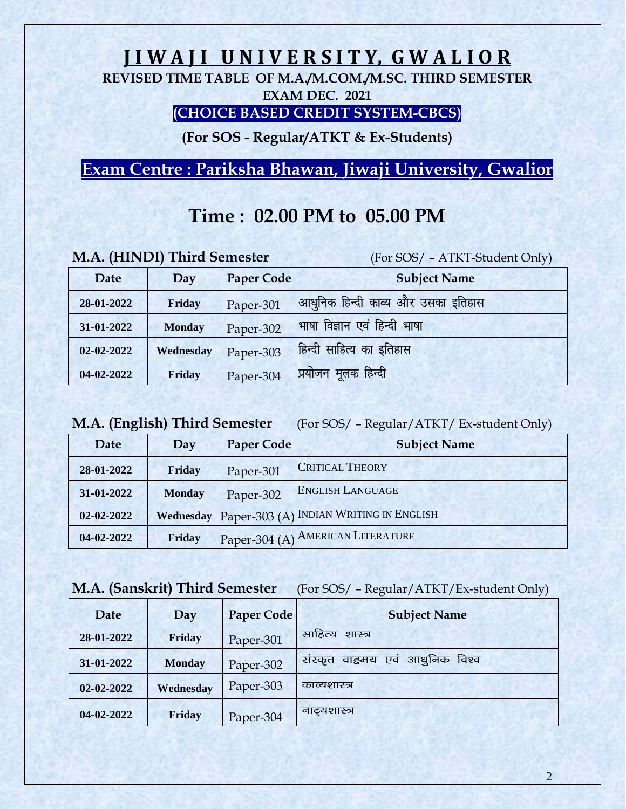# **J I W A J I U N I V E R S I T Y, G W A L I O R**

**REVISED TIME TABLE OF M.A./M.COM./M.SC. THIRD SEMESTER EXAM DEC. 2021**

#### **(CHOICE BASED CREDIT SYSTEM-CBCS)**

**(For SOS - Regular/ATKT & Ex-Students)**

**Exam Centre : Pariksha Bhawan, Jiwaji University, Gwalior**

# **Time : 02.00 PM to 05.00 PM**

|  |  |  | M.A. (HINDI) Third Semester |
|--|--|--|-----------------------------|
|--|--|--|-----------------------------|

(For SOS/ – ATKT-Student Only)

| Date             | Day           | Paper Code | <b>Subject Name</b>                |
|------------------|---------------|------------|------------------------------------|
| 28-01-2022       | Friday        | Paper-301  | आधुनिक हिन्दी काव्य और उसका इतिहास |
| 31-01-2022       | <b>Monday</b> | Paper-302  | भाषा विज्ञान एवं हिन्दी भाषा       |
| $02 - 02 - 2022$ | Wednesday     | Paper-303  | हिन्दी साहित्य का इतिहास           |
| 04-02-2022       | Friday        | Paper-304  | <u>'</u> प्रयोजन मूलक हिन्दी       |

**M.A. (English) Third Semester** (For SOS/ – Regular/ATKT/ Ex-student Only)

| Date       | Day           | <b>Paper Code</b> | <b>Subject Name</b>                     |
|------------|---------------|-------------------|-----------------------------------------|
| 28-01-2022 | Friday        | Paper-301         | <b>CRITICAL THEORY</b>                  |
| 31-01-2022 | <b>Monday</b> | Paper-302         | <b>ENGLISH LANGUAGE</b>                 |
| 02-02-2022 | Wednesday     |                   | Paper-303 (A) INDIAN WRITING IN ENGLISH |
| 04-02-2022 | Friday        |                   | Paper-304 (A) AMERICAN LITERATURE       |

#### **M.A. (Sanskrit) Third Semester** (For SOS/ – Regular/ATKT/Ex-student Only)

| Date             | Day           | Paper Code | <b>Subject Name</b>                |
|------------------|---------------|------------|------------------------------------|
| 28-01-2022       | Friday        | Paper-301  | साहित्य<br>शास्त्र                 |
| 31-01-2022       | <b>Monday</b> | Paper-302  | वाह्रमय एवं आधुनिक विश्व<br>सस्कृत |
| $02 - 02 - 2022$ | Wednesday     | Paper-303  | काव्यशास्त्र                       |
| 04-02-2022       | Friday        | Paper-304  | नाट्यशास्त्र                       |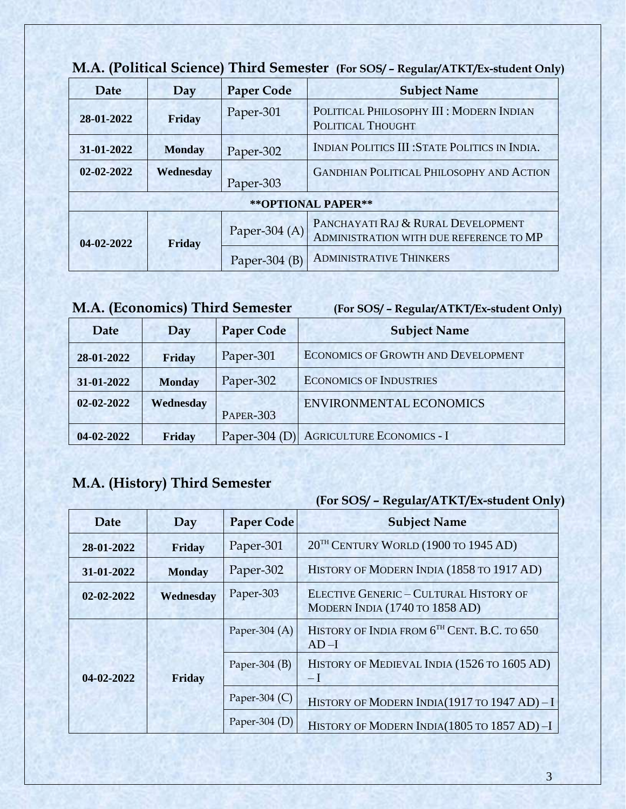| Date       | Day           | <b>Paper Code</b> | <b>Subject Name</b>                                                           |
|------------|---------------|-------------------|-------------------------------------------------------------------------------|
| 28-01-2022 | Friday        | Paper-301         | POLITICAL PHILOSOPHY III : MODERN INDIAN<br>POLITICAL THOUGHT                 |
| 31-01-2022 | <b>Monday</b> | Paper-302         | INDIAN POLITICS III: STATE POLITICS IN INDIA.                                 |
| 02-02-2022 | Wednesday     | Paper-303         | <b>GANDHIAN POLITICAL PHILOSOPHY AND ACTION</b>                               |
|            |               |                   | ** OPTIONAL PAPER**                                                           |
| 04-02-2022 | Friday        | Paper-304 $(A)$   | PANCHAYATI RAJ & RURAL DEVELOPMENT<br>ADMINISTRATION WITH DUE REFERENCE TO MP |
|            |               | Paper-304 $(B)$   | <b>ADMINISTRATIVE THINKERS</b>                                                |

### **M.A. (Political Science) Third Semester (For SOS/ – Regular/ATKT/Ex-student Only)**

### **M.A. (Economics) Third Semester (For SOS/ – Regular/ATKT/Ex-student Only)**

| Date       | Day           | <b>Paper Code</b> | <b>Subject Name</b>                        |
|------------|---------------|-------------------|--------------------------------------------|
| 28-01-2022 | Friday        | Paper-301         | <b>ECONOMICS OF GROWTH AND DEVELOPMENT</b> |
| 31-01-2022 | <b>Monday</b> | Paper-302         | <b>ECONOMICS OF INDUSTRIES</b>             |
| 02-02-2022 | Wednesday     | <b>PAPER-303</b>  | <b>ENVIRONMENTAL ECONOMICS</b>             |
| 04-02-2022 | Friday        | Paper-304 $(I)$   | <b>AGRICULTURE ECONOMICS - I</b>           |

### **M.A. (History) Third Semester**

| Date             | Day           | <b>Paper Code</b> | <b>Subject Name</b>                                                             |
|------------------|---------------|-------------------|---------------------------------------------------------------------------------|
| 28-01-2022       | Friday        | Paper-301         | 20 <sup>TH</sup> CENTURY WORLD (1900 TO 1945 AD)                                |
| 31-01-2022       | <b>Monday</b> | Paper-302         | HISTORY OF MODERN INDIA (1858 TO 1917 AD)                                       |
| $02 - 02 - 2022$ | Wednesday     | Paper-303         | <b>ELECTIVE GENERIC - CULTURAL HISTORY OF</b><br>MODERN INDIA (1740 TO 1858 AD) |
| 04-02-2022       |               | Paper-304 $(A)$   | HISTORY OF INDIA FROM 6 <sup>TH</sup> CENT. B.C. TO 650<br>$AD-I$               |
|                  | Friday        | Paper-304 $(B)$   | HISTORY OF MEDIEVAL INDIA (1526 TO 1605 AD)<br>$-I$                             |
|                  |               | Paper-304 $(C)$   | HISTORY OF MODERN INDIA(1917 TO 1947 AD) - I                                    |
|                  |               | Paper-304 $(D)$   | HISTORY OF MODERN INDIA(1805 TO 1857 AD)-I                                      |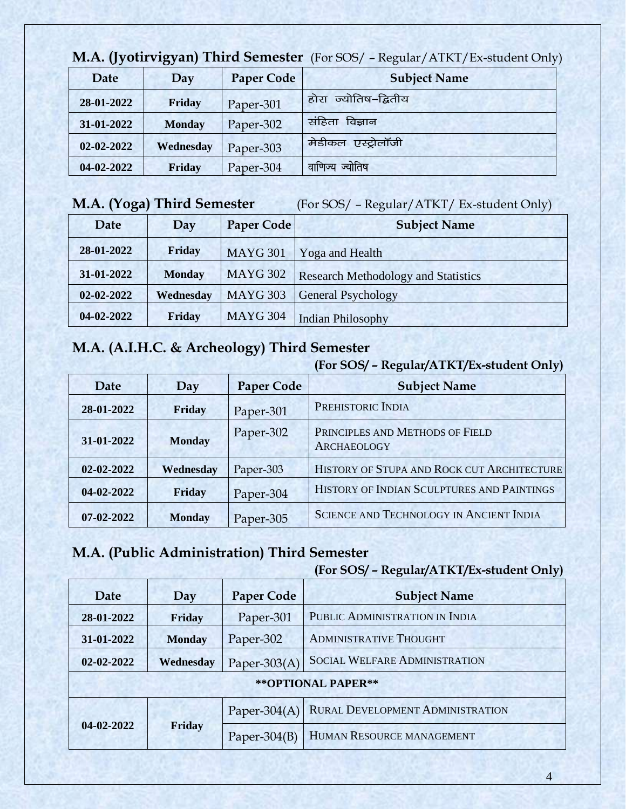| <b>NI.A. (Tyourvigyan) Third Semester</b> (For SOS) – Regular/ATKT/Ex-student Only |               |                   |                         |
|------------------------------------------------------------------------------------|---------------|-------------------|-------------------------|
| Date                                                                               | Day           | <b>Paper Code</b> | <b>Subject Name</b>     |
| 28-01-2022                                                                         | Friday        | Paper-301         | ज्योतिष-द्वितीय<br>होरा |
| 31-01-2022                                                                         | <b>Monday</b> | Paper-302         | संहिता<br>विज्ञान       |
| 02-02-2022                                                                         | Wednesday     | Paper-303         | मेडीकल एस्ट्रोलॉजी      |
| 04-02-2022                                                                         | Friday        | Paper-304         | वाणिज्य ज्योतिष         |

### **M.A. (Jyotirvigyan) Third Semester** (For SOS/ – Regular/ATKT/Ex-student Only)

### **M.A. (Yoga) Third Semester** (For SOS/ – Regular/ATKT/ Ex-student Only)

| Date       | Day           | Paper Code      | <b>Subject Name</b>                        |
|------------|---------------|-----------------|--------------------------------------------|
| 28-01-2022 | Friday        | <b>MAYG 301</b> | Yoga and Health                            |
| 31-01-2022 | <b>Monday</b> | <b>MAYG 302</b> | <b>Research Methodology and Statistics</b> |
| 02-02-2022 | Wednesday     | <b>MAYG 303</b> | General Psychology                         |
| 04-02-2022 | Friday        | <b>MAYG 304</b> | <b>Indian Philosophy</b>                   |

# **M.A. (A.I.H.C. & Archeology) Third Semester**

|                  |               |                   | (For SOS/ - Regular/ATKT/Ex-student Only)             |
|------------------|---------------|-------------------|-------------------------------------------------------|
| Date             | Day           | <b>Paper Code</b> | <b>Subject Name</b>                                   |
| 28-01-2022       | Friday        | Paper-301         | PREHISTORIC INDIA                                     |
| 31-01-2022       | <b>Monday</b> | Paper-302         | PRINCIPLES AND METHODS OF FIELD<br><b>ARCHAEOLOGY</b> |
| 02-02-2022       | Wednesday     | Paper-303         | HISTORY OF STUPA AND ROCK CUT ARCHITECTURE            |
| 04-02-2022       | Friday        | Paper-304         | HISTORY OF INDIAN SCULPTURES AND PAINTINGS            |
| $07 - 02 - 2022$ | <b>Monday</b> | Paper-305         | <b>SCIENCE AND TECHNOLOGY IN ANCIENT INDIA</b>        |

# **M.A. (Public Administration) Third Semester**

| Date                | Day           | <b>Paper Code</b> | <b>Subject Name</b>                  |
|---------------------|---------------|-------------------|--------------------------------------|
| 28-01-2022          | Friday        | Paper-301         | PUBLIC ADMINISTRATION IN INDIA       |
| 31-01-2022          | <b>Monday</b> | Paper-302         | <b>ADMINISTRATIVE THOUGHT</b>        |
| 02-02-2022          | Wednesday     | Paper-303 $(A)$   | <b>SOCIAL WELFARE ADMINISTRATION</b> |
| ** OPTIONAL PAPER** |               |                   |                                      |
| 04-02-2022          | Friday        | Paper-304 $(A)$   | RURAL DEVELOPMENT ADMINISTRATION     |
|                     |               | Paper- $304(B)$   | HUMAN RESOURCE MANAGEMENT            |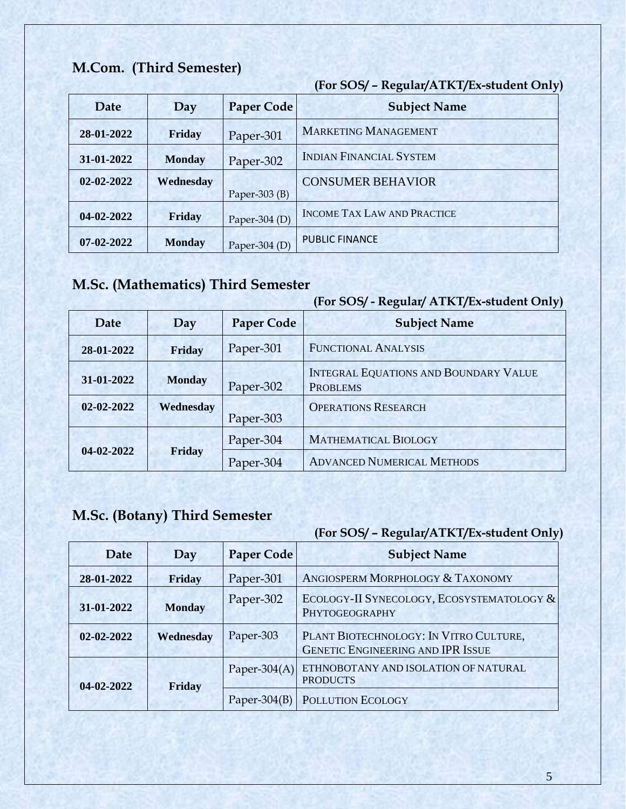### **M.Com. (Third Semester)**

**(For SOS/ – Regular/ATKT/Ex-student Only)** 

| Date             | Day           | <b>Paper Code</b> | <b>Subject Name</b>                |
|------------------|---------------|-------------------|------------------------------------|
| 28-01-2022       | Friday        | Paper-301         | <b>MARKETING MANAGEMENT</b>        |
| 31-01-2022       | <b>Monday</b> | Paper-302         | <b>INDIAN FINANCIAL SYSTEM</b>     |
| $02 - 02 - 2022$ | Wednesday     | Paper-303 $(B)$   | <b>CONSUMER BEHAVIOR</b>           |
| 04-02-2022       | <b>Friday</b> | Paper-304 $(D)$   | <b>INCOME TAX LAW AND PRACTICE</b> |
| 07-02-2022       | <b>Monday</b> | Paper-304 $(D)$   | <b>PUBLIC FINANCE</b>              |

# **M.Sc. (Mathematics) Third Semester**

|                  |               |                   | (For SOS/ - Regular/ ATKT/Ex-student Only)                      |
|------------------|---------------|-------------------|-----------------------------------------------------------------|
| Date             | Day           | <b>Paper Code</b> | <b>Subject Name</b>                                             |
| 28-01-2022       | Friday        | Paper-301         | <b>FUNCTIONAL ANALYSIS</b>                                      |
| 31-01-2022       | <b>Monday</b> | Paper-302         | <b>INTEGRAL EQUATIONS AND BOUNDARY VALUE</b><br><b>PROBLEMS</b> |
| $02 - 02 - 2022$ | Wednesday     | Paper-303         | <b>OPERATIONS RESEARCH</b>                                      |
| 04-02-2022       |               | Paper-304         | <b>MATHEMATICAL BIOLOGY</b>                                     |
|                  | Friday        | Paper-304         | <b>ADVANCED NUMERICAL METHODS</b>                               |

# **M.Sc. (Botany) Third Semester**

| <b>Date</b> | Day           | <b>Paper Code</b> | <b>Subject Name</b>                                                                |
|-------------|---------------|-------------------|------------------------------------------------------------------------------------|
| 28-01-2022  | Friday        | Paper-301         | ANGIOSPERM MORPHOLOGY & TAXONOMY                                                   |
| 31-01-2022  | <b>Monday</b> | Paper-302         | ECOLOGY-II SYNECOLOGY, ECOSYSTEMATOLOGY &<br>PHYTOGEOGRAPHY                        |
| 02-02-2022  | Wednesday     | Paper-303         | PLANT BIOTECHNOLOGY: IN VITRO CULTURE,<br><b>GENETIC ENGINEERING AND IPR ISSUE</b> |
| 04-02-2022  | Friday        | Paper-304 $(A)$   | ETHNOBOTANY AND ISOLATION OF NATURAL<br><b>PRODUCTS</b>                            |
|             |               | Paper- $304(B)$   | POLLUTION ECOLOGY                                                                  |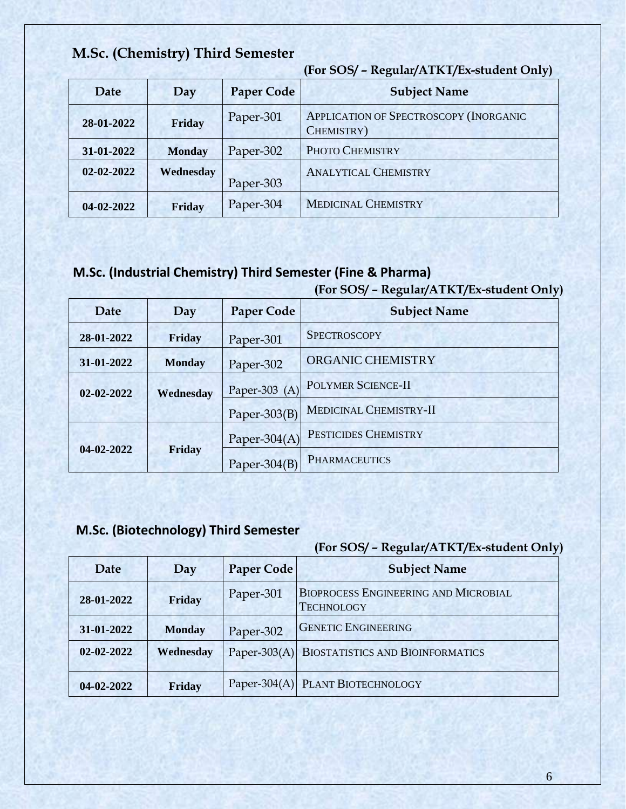### **M.Sc. (Chemistry) Third Semester**

**(For SOS/ – Regular/ATKT/Ex-student Only)** 

| Date       | Day           | <b>Paper Code</b> | <b>Subject Name</b>                                         |
|------------|---------------|-------------------|-------------------------------------------------------------|
| 28-01-2022 | Friday        | Paper-301         | <b>APPLICATION OF SPECTROSCOPY (INORGANIC</b><br>CHEMISTRY) |
| 31-01-2022 | <b>Monday</b> | Paper-302         | PHOTO CHEMISTRY                                             |
| 02-02-2022 | Wednesday     | Paper-303         | <b>ANALYTICAL CHEMISTRY</b>                                 |
| 04-02-2022 | Friday        | Paper-304         | <b>MEDICINAL CHEMISTRY</b>                                  |

# **M.Sc. (Industrial Chemistry) Third Semester (Fine & Pharma)**

### **(For SOS/ – Regular/ATKT/Ex-student Only)**

| Date             | Day           | <b>Paper Code</b> | <b>Subject Name</b>           |
|------------------|---------------|-------------------|-------------------------------|
| 28-01-2022       | Friday        | Paper-301         | <b>SPECTROSCOPY</b>           |
| 31-01-2022       | <b>Monday</b> | Paper-302         | ORGANIC CHEMISTRY             |
| $02 - 02 - 2022$ | Wednesday     | Paper-303 (A)     | <b>POLYMER SCIENCE-II</b>     |
|                  |               | Paper- $303(B)$   | <b>MEDICINAL CHEMISTRY-II</b> |
| 04-02-2022       | Friday        | Paper-304 $(A)$   | PESTICIDES CHEMISTRY          |
|                  |               | Paper-304 $(B)$   | <b>PHARMACEUTICS</b>          |

### **M.Sc. (Biotechnology) Third Semester**

| Date             | Day           | <b>Paper Code</b> | <b>Subject Name</b>                                              |
|------------------|---------------|-------------------|------------------------------------------------------------------|
| 28-01-2022       | Friday        | Paper-301         | <b>BIOPROCESS ENGINEERING AND MICROBIAL</b><br><b>TECHNOLOGY</b> |
| 31-01-2022       | <b>Monday</b> | Paper-302         | <b>GENETIC ENGINEERING</b>                                       |
| $02 - 02 - 2022$ | Wednesday     |                   | Paper-303(A) BIOSTATISTICS AND BIOINFORMATICS                    |
| 04-02-2022       | Friday        |                   | Paper-304(A) PLANT BIOTECHNOLOGY                                 |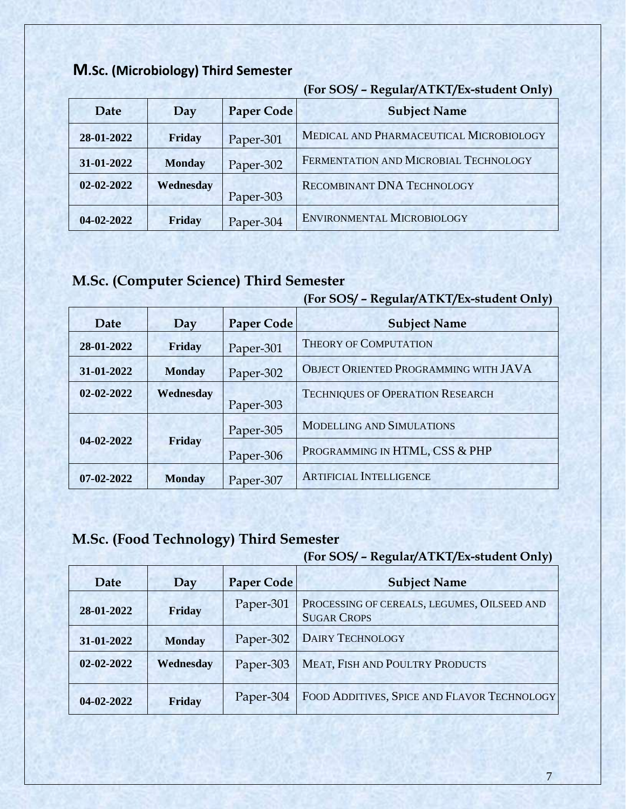### **M.Sc. (Microbiology) Third Semester**

|            |               |                   | $\frac{1}{2}$ = 0.00 $\frac{1}{2}$ = 0.000 $\frac{1}{2}$ = 0.000 $\frac{1}{2}$ = 0.000 $\frac{1}{2}$ = 0.000 $\frac{1}{2}$ = 0.000 $\frac{1}{2}$ = 0.000 $\frac{1}{2}$ = 0.000 $\frac{1}{2}$ = 0.000 $\frac{1}{2}$ = 0.000 $\frac{1}{2}$ = 0.000 $\frac{1}{2}$ = 0.000 $\frac{1}{$ |
|------------|---------------|-------------------|------------------------------------------------------------------------------------------------------------------------------------------------------------------------------------------------------------------------------------------------------------------------------------|
| Date       | Day           | <b>Paper Code</b> | <b>Subject Name</b>                                                                                                                                                                                                                                                                |
| 28-01-2022 | Friday        | Paper-301         | MEDICAL AND PHARMACEUTICAL MICROBIOLOGY                                                                                                                                                                                                                                            |
| 31-01-2022 | <b>Monday</b> | Paper-302         | FERMENTATION AND MICROBIAL TECHNOLOGY                                                                                                                                                                                                                                              |
| 02-02-2022 | Wednesday     | Paper-303         | RECOMBINANT DNA TECHNOLOGY                                                                                                                                                                                                                                                         |
| 04-02-2022 | Friday        | Paper-304         | <b>ENVIRONMENTAL MICROBIOLOGY</b>                                                                                                                                                                                                                                                  |

#### **(For SOS/ – Regular/ATKT/Ex-student Only)**

### **M.Sc. (Computer Science) Third Semester**

#### **(For SOS/ – Regular/ATKT/Ex-student Only)**

| Date             | Day           | <b>Paper Code</b> | <b>Subject Name</b>                     |
|------------------|---------------|-------------------|-----------------------------------------|
| 28-01-2022       | Friday        | Paper-301         | <b>THEORY OF COMPUTATION</b>            |
| 31-01-2022       | <b>Monday</b> | Paper-302         | OBJECT ORIENTED PROGRAMMING WITH JAVA   |
| $02 - 02 - 2022$ | Wednesday     | Paper-303         | <b>TECHNIQUES OF OPERATION RESEARCH</b> |
| 04-02-2022       | Friday        | Paper-305         | <b>MODELLING AND SIMULATIONS</b>        |
|                  |               | Paper-306         | PROGRAMMING IN HTML, CSS & PHP          |
| $07 - 02 - 2022$ | <b>Monday</b> | Paper-307         | <b>ARTIFICIAL INTELLIGENCE</b>          |

### **M.Sc. (Food Technology) Third Semester**

| Date             | Day           | <b>Paper Code</b> | <b>Subject Name</b>                                               |
|------------------|---------------|-------------------|-------------------------------------------------------------------|
| 28-01-2022       | Friday        | Paper-301         | PROCESSING OF CEREALS, LEGUMES, OILSEED AND<br><b>SUGAR CROPS</b> |
| 31-01-2022       | <b>Monday</b> | Paper-302         | <b>DAIRY TECHNOLOGY</b>                                           |
| $02 - 02 - 2022$ | Wednesday     | Paper-303         | MEAT, FISH AND POULTRY PRODUCTS                                   |
| 04-02-2022       | Friday        | Paper-304         | FOOD ADDITIVES, SPICE AND FLAVOR TECHNOLOGY                       |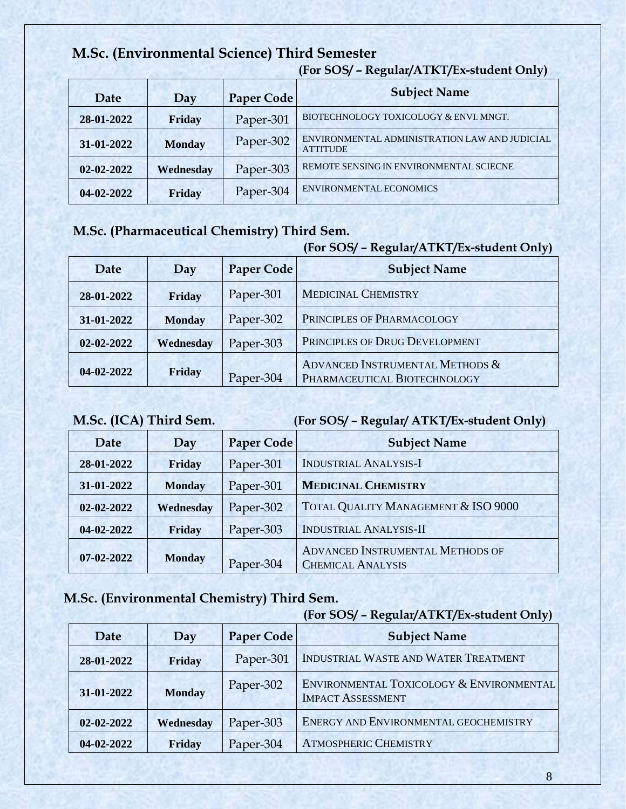### **M.Sc. (Environmental Science) Third Semester**

|                  |               |                   | $(101 \, 909)$ – Regular/TTRT/LA-student Only                    |
|------------------|---------------|-------------------|------------------------------------------------------------------|
| Date             | Day           | <b>Paper Code</b> | <b>Subject Name</b>                                              |
| 28-01-2022       | Friday        | Paper-301         | BIOTECHNOLOGY TOXICOLOGY & ENVI. MNGT.                           |
| 31-01-2022       | <b>Monday</b> | Paper-302         | ENVIRONMENTAL ADMINISTRATION LAW AND JUDICIAL<br><b>ATTITUDE</b> |
| $02 - 02 - 2022$ | Wednesday     | Paper-303         | REMOTE SENSING IN ENVIRONMENTAL SCIECNE                          |
| 04-02-2022       | Friday        | Paper-304         | <b>ENVIRONMENTAL ECONOMICS</b>                                   |

#### **(For SOS/ – Regular/ATKT/Ex-student Only)**

### **M.Sc. (Pharmaceutical Chemistry) Third Sem.**

#### **(For SOS/ – Regular/ATKT/Ex-student Only)**

| Date             | Day           | Paper Code | <b>Subject Name</b>                                             |
|------------------|---------------|------------|-----------------------------------------------------------------|
| 28-01-2022       | Friday        | Paper-301  | <b>MEDICINAL CHEMISTRY</b>                                      |
| 31-01-2022       | <b>Monday</b> | Paper-302  | PRINCIPLES OF PHARMACOLOGY                                      |
| $02 - 02 - 2022$ | Wednesday     | Paper-303  | PRINCIPLES OF DRUG DEVELOPMENT                                  |
| 04-02-2022       | Friday        | Paper-304  | ADVANCED INSTRUMENTAL METHODS &<br>PHARMACEUTICAL BIOTECHNOLOGY |

**M.Sc. (ICA) Third Sem. (For SOS/ – Regular/ ATKT/Ex-student Only)** 

| Date       | Day           | <b>Paper Code</b> | <b>Subject Name</b>                                          |
|------------|---------------|-------------------|--------------------------------------------------------------|
| 28-01-2022 | Friday        | Paper-301         | <b>INDUSTRIAL ANALYSIS-I</b>                                 |
| 31-01-2022 | <b>Monday</b> | Paper-301         | <b>MEDICINAL CHEMISTRY</b>                                   |
| 02-02-2022 | Wednesday     | Paper-302         | TOTAL QUALITY MANAGEMENT & ISO 9000                          |
| 04-02-2022 | Friday        | Paper-303         | <b>INDUSTRIAL ANALYSIS-II</b>                                |
| 07-02-2022 | <b>Monday</b> | Paper-304         | ADVANCED INSTRUMENTAL METHODS OF<br><b>CHEMICAL ANALYSIS</b> |

### **M.Sc. (Environmental Chemistry) Third Sem.**

| Date       | Day           | <b>Paper Code</b> | <b>Subject Name</b>                                                  |
|------------|---------------|-------------------|----------------------------------------------------------------------|
| 28-01-2022 | Friday        | Paper-301         | INDUSTRIAL WASTE AND WATER TREATMENT                                 |
| 31-01-2022 | <b>Monday</b> | Paper-302         | ENVIRONMENTAL TOXICOLOGY & ENVIRONMENTAL<br><b>IMPACT ASSESSMENT</b> |
| 02-02-2022 | Wednesday     | Paper-303         | ENERGY AND ENVIRONMENTAL GEOCHEMISTRY                                |
| 04-02-2022 | Friday        | Paper-304         | <b>ATMOSPHERIC CHEMISTRY</b>                                         |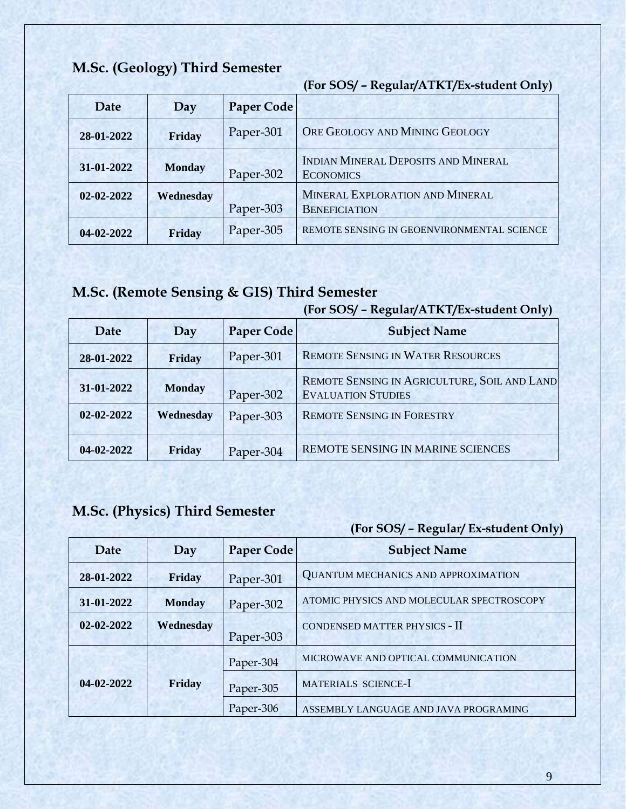### **M.Sc. (Geology) Third Semester**

**(For SOS/ – Regular/ATKT/Ex-student Only)** 

| Date             | Day           | Paper Code |                                                                |
|------------------|---------------|------------|----------------------------------------------------------------|
| 28-01-2022       | Friday        | Paper-301  | ORE GEOLOGY AND MINING GEOLOGY                                 |
| 31-01-2022       | <b>Monday</b> | Paper-302  | <b>INDIAN MINERAL DEPOSITS AND MINERAL</b><br><b>ECONOMICS</b> |
| $02 - 02 - 2022$ | Wednesday     | Paper-303  | MINERAL EXPLORATION AND MINERAL<br><b>BENEFICIATION</b>        |
| $04 - 02 - 2022$ | Friday        | Paper-305  | REMOTE SENSING IN GEOENVIRONMENTAL SCIENCE                     |

# **M.Sc. (Remote Sensing & GIS) Third Semester**

#### **(For SOS/ – Regular/ATKT/Ex-student Only)**

| Date             | Day           | <b>Paper Code</b> | <b>Subject Name</b>                                                       |
|------------------|---------------|-------------------|---------------------------------------------------------------------------|
| 28-01-2022       | Friday        | Paper-301         | <b>REMOTE SENSING IN WATER RESOURCES</b>                                  |
| 31-01-2022       | <b>Monday</b> | Paper-302         | REMOTE SENSING IN AGRICULTURE, SOIL AND LAND<br><b>EVALUATION STUDIES</b> |
| $02 - 02 - 2022$ | Wednesday     | Paper-303         | <b>REMOTE SENSING IN FORESTRY</b>                                         |
| 04-02-2022       | Friday        | Paper-304         | REMOTE SENSING IN MARINE SCIENCES                                         |

### **M.Sc. (Physics) Third Semester**

| Date             | Day           | <b>Paper Code</b> | <b>Subject Name</b>                        |
|------------------|---------------|-------------------|--------------------------------------------|
| 28-01-2022       | Friday        | Paper-301         | <b>QUANTUM MECHANICS AND APPROXIMATION</b> |
| 31-01-2022       | <b>Monday</b> | Paper-302         | ATOMIC PHYSICS AND MOLECULAR SPECTROSCOPY  |
| $02 - 02 - 2022$ | Wednesday     | Paper-303         | CONDENSED MATTER PHYSICS - II              |
| 04-02-2022       |               | Paper-304         | MICROWAVE AND OPTICAL COMMUNICATION        |
|                  | Friday        | Paper-305         | MATERIALS SCIENCE-I                        |
|                  |               | Paper-306         | ASSEMBLY LANGUAGE AND JAVA PROGRAMING      |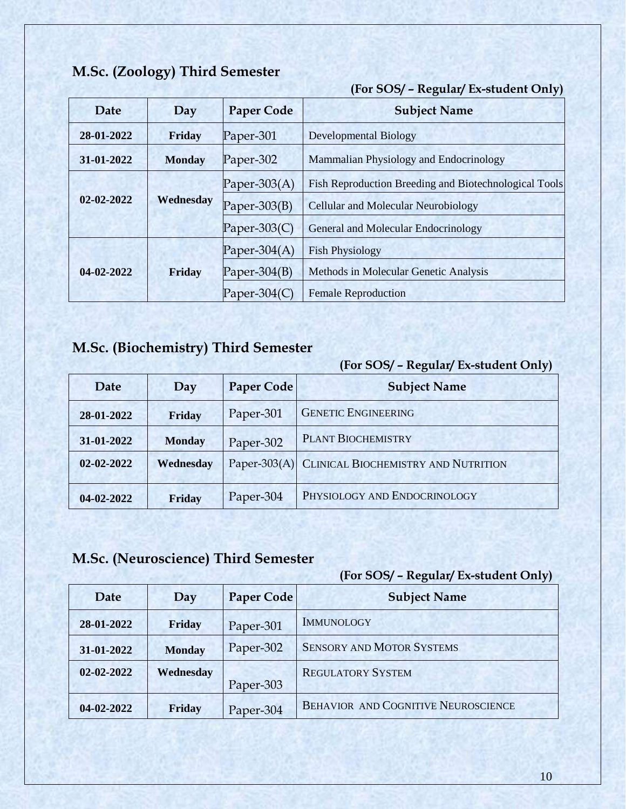### **M.Sc. (Zoology) Third Semester**

**(For SOS/ – Regular/ Ex-student Only)** 

| Date       | Day           | <b>Paper Code</b> | <b>Subject Name</b>                                   |
|------------|---------------|-------------------|-------------------------------------------------------|
| 28-01-2022 | Friday        | Paper-301         | <b>Developmental Biology</b>                          |
| 31-01-2022 | <b>Monday</b> | Paper-302         | Mammalian Physiology and Endocrinology                |
| 02-02-2022 |               | Paper-303 $(A)$   | Fish Reproduction Breeding and Biotechnological Tools |
|            | Wednesday     | Paper- $303(B)$   | <b>Cellular and Molecular Neurobiology</b>            |
|            |               | Paper-303 $(C)$   | General and Molecular Endocrinology                   |
| 04-02-2022 |               | Paper-304 $(A)$   | <b>Fish Physiology</b>                                |
|            | Friday        | Paper-304 $(B)$   | Methods in Molecular Genetic Analysis                 |
|            |               | Paper-304 $(C)$   | <b>Female Reproduction</b>                            |

# **M.Sc. (Biochemistry) Third Semester**

#### **(For SOS/ – Regular/ Ex-student Only)**

| Date             | Day           | <b>Paper Code</b> | <b>Subject Name</b>                              |
|------------------|---------------|-------------------|--------------------------------------------------|
| 28-01-2022       | Friday        | Paper-301         | <b>GENETIC ENGINEERING</b>                       |
| 31-01-2022       | <b>Monday</b> | Paper-302         | <b>PLANT BIOCHEMISTRY</b>                        |
| $02 - 02 - 2022$ | Wednesday     |                   | Paper-303(A) CLINICAL BIOCHEMISTRY AND NUTRITION |
| 04-02-2022       | Friday        | Paper-304         | PHYSIOLOGY AND ENDOCRINOLOGY                     |

### **M.Sc. (Neuroscience) Third Semester**

|                  |               |            | J 1                                 |
|------------------|---------------|------------|-------------------------------------|
| Date             | Day           | Paper Code | <b>Subject Name</b>                 |
| 28-01-2022       | Friday        | Paper-301  | <b>IMMUNOLOGY</b>                   |
| 31-01-2022       | <b>Monday</b> | Paper-302  | <b>SENSORY AND MOTOR SYSTEMS</b>    |
| $02 - 02 - 2022$ | Wednesday     | Paper-303  | <b>REGULATORY SYSTEM</b>            |
| 04-02-2022       | Friday        | Paper-304  | BEHAVIOR AND COGNITIVE NEUROSCIENCE |